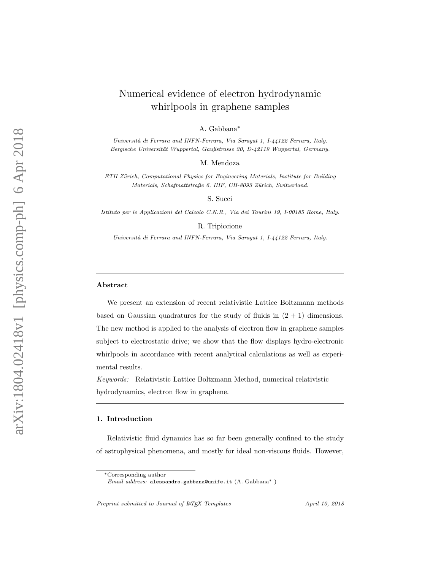# Numerical evidence of electron hydrodynamic whirlpools in graphene samples

A. Gabbana ∗

Università di Ferrara and INFN-Ferrara, Via Saragat 1, I-44122 Ferrara, Italy. Bergische Universität Wuppertal, Gaußstrasse 20, D-42119 Wuppertal, Germany.

M. Mendoza

ETH Zürich, Computational Physics for Engineering Materials, Institute for Building Materials, Schafmattstraße 6, HIF, CH-8093 Zürich, Switzerland.

S. Succi

Istituto per le Applicazioni del Calcolo C.N.R., Via dei Taurini 19, I-00185 Rome, Italy.

R. Tripiccione

Università di Ferrara and INFN-Ferrara, Via Saragat 1, I-44122 Ferrara, Italy.

#### Abstract

We present an extension of recent relativistic Lattice Boltzmann methods based on Gaussian quadratures for the study of fluids in  $(2 + 1)$  dimensions. The new method is applied to the analysis of electron flow in graphene samples subject to electrostatic drive; we show that the flow displays hydro-electronic whirlpools in accordance with recent analytical calculations as well as experimental results.

Keywords: Relativistic Lattice Boltzmann Method, numerical relativistic hydrodynamics, electron flow in graphene.

### 1. Introduction

Relativistic fluid dynamics has so far been generally confined to the study of astrophysical phenomena, and mostly for ideal non-viscous fluids. However,

Preprint submitted to Journal of  $\mu_{TEX}$  Templates April 10, 2018

<sup>∗</sup>Corresponding author

 $Email \ address: \ \texttt{alessandro.gabbana@unife.it} \ (A. \ Gabbana^*)$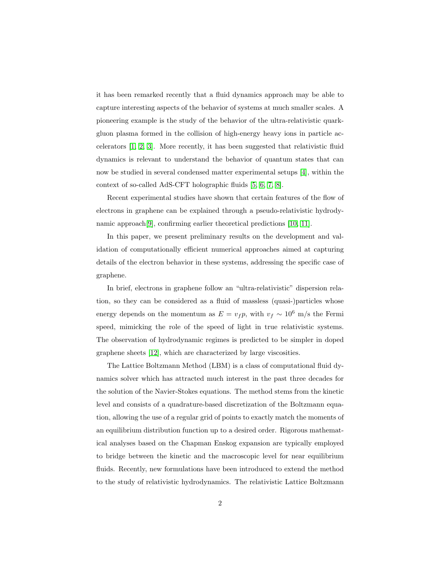it has been remarked recently that a fluid dynamics approach may be able to capture interesting aspects of the behavior of systems at much smaller scales. A pioneering example is the study of the behavior of the ultra-relativistic quarkgluon plasma formed in the collision of high-energy heavy ions in particle accelerators [\[1,](#page-16-0) [2,](#page-16-1) [3\]](#page-17-0). More recently, it has been suggested that relativistic fluid dynamics is relevant to understand the behavior of quantum states that can now be studied in several condensed matter experimental setups [\[4\]](#page-17-1), within the context of so-called AdS-CFT holographic fluids [\[5,](#page-17-2) [6,](#page-17-3) [7,](#page-17-4) [8\]](#page-17-5).

Recent experimental studies have shown that certain features of the flow of electrons in graphene can be explained through a pseudo-relativistic hydrodynamic approach[\[9\]](#page-17-6), confirming earlier theoretical predictions [\[10,](#page-17-7) [11\]](#page-17-8).

In this paper, we present preliminary results on the development and validation of computationally efficient numerical approaches aimed at capturing details of the electron behavior in these systems, addressing the specific case of graphene.

In brief, electrons in graphene follow an "ultra-relativistic" dispersion relation, so they can be considered as a fluid of massless (quasi-)particles whose energy depends on the momentum as  $E = v_f p$ , with  $v_f \sim 10^6$  m/s the Fermi speed, mimicking the role of the speed of light in true relativistic systems. The observation of hydrodynamic regimes is predicted to be simpler in doped graphene sheets [\[12\]](#page-18-0), which are characterized by large viscosities.

The Lattice Boltzmann Method (LBM) is a class of computational fluid dynamics solver which has attracted much interest in the past three decades for the solution of the Navier-Stokes equations. The method stems from the kinetic level and consists of a quadrature-based discretization of the Boltzmann equation, allowing the use of a regular grid of points to exactly match the moments of an equilibrium distribution function up to a desired order. Rigorous mathematical analyses based on the Chapman Enskog expansion are typically employed to bridge between the kinetic and the macroscopic level for near equilibrium fluids. Recently, new formulations have been introduced to extend the method to the study of relativistic hydrodynamics. The relativistic Lattice Boltzmann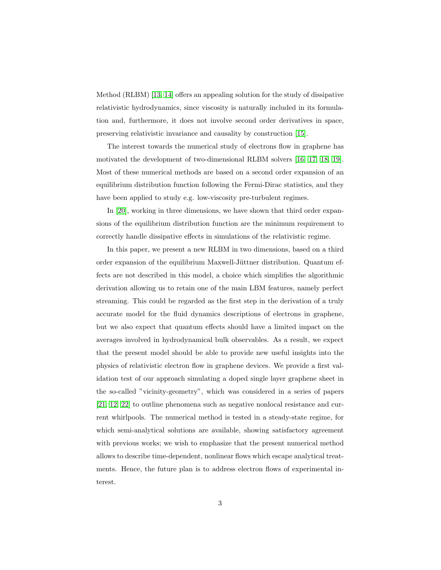Method (RLBM) [\[13,](#page-18-1) [14\]](#page-18-2) offers an appealing solution for the study of dissipative relativistic hydrodynamics, since viscosity is naturally included in its formulation and, furthermore, it does not involve second order derivatives in space, preserving relativistic invariance and causality by construction [\[15\]](#page-18-3).

The interest towards the numerical study of electrons flow in graphene has motivated the development of two-dimensional RLBM solvers [\[16,](#page-18-4) [17,](#page-18-5) [18,](#page-18-6) [19\]](#page-18-7). Most of these numerical methods are based on a second order expansion of an equilibrium distribution function following the Fermi-Dirac statistics, and they have been applied to study e.g. low-viscosity pre-turbulent regimes.

In [\[20\]](#page-18-8), working in three dimensions, we have shown that third order expansions of the equilibrium distribution function are the minimum requirement to correctly handle dissipative effects in simulations of the relativistic regime.

In this paper, we present a new RLBM in two dimensions, based on a third order expansion of the equilibrium Maxwell-Jüttner distribution. Quantum effects are not described in this model, a choice which simplifies the algorithmic derivation allowing us to retain one of the main LBM features, namely perfect streaming. This could be regarded as the first step in the derivation of a truly accurate model for the fluid dynamics descriptions of electrons in graphene, but we also expect that quantum effects should have a limited impact on the averages involved in hydrodynamical bulk observables. As a result, we expect that the present model should be able to provide new useful insights into the physics of relativistic electron flow in graphene devices. We provide a first validation test of our approach simulating a doped single layer graphene sheet in the so-called "vicinity-geometry", which was considered in a series of papers [\[21,](#page-19-0) [12,](#page-18-0) [22\]](#page-19-1) to outline phenomena such as negative nonlocal resistance and current whirlpools. The numerical method is tested in a steady-state regime, for which semi-analytical solutions are available, showing satisfactory agreement with previous works; we wish to emphasize that the present numerical method allows to describe time-dependent, nonlinear flows which escape analytical treatments. Hence, the future plan is to address electron flows of experimental interest.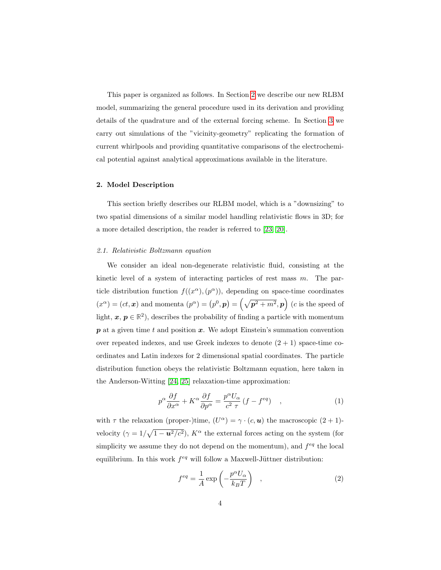This paper is organized as follows. In Section [2](#page-3-0) we describe our new RLBM model, summarizing the general procedure used in its derivation and providing details of the quadrature and of the external forcing scheme. In Section [3](#page-8-0) we carry out simulations of the "vicinity-geometry" replicating the formation of current whirlpools and providing quantitative comparisons of the electrochemical potential against analytical approximations available in the literature.

## <span id="page-3-0"></span>2. Model Description

This section briefly describes our RLBM model, which is a "downsizing" to two spatial dimensions of a similar model handling relativistic flows in 3D; for a more detailed description, the reader is referred to [\[23,](#page-19-2) [20\]](#page-18-8).

### 2.1. Relativistic Boltzmann equation

We consider an ideal non-degenerate relativistic fluid, consisting at the kinetic level of a system of interacting particles of rest mass  $m$ . The particle distribution function  $f((x^{\alpha}), (p^{\alpha}))$ , depending on space-time coordinates  $(x^{\alpha}) = (ct, x)$  and momenta  $(p^{\alpha}) = (p^0, p) = (\sqrt{p^2 + m^2}, p)$  (c is the speed of light,  $x, p \in \mathbb{R}^2$ ), describes the probability of finding a particle with momentum  $p$  at a given time t and position  $x$ . We adopt Einstein's summation convention over repeated indexes, and use Greek indexes to denote  $(2 + 1)$  space-time coordinates and Latin indexes for 2 dimensional spatial coordinates. The particle distribution function obeys the relativistic Boltzmann equation, here taken in the Anderson-Witting [\[24,](#page-19-3) [25\]](#page-19-4) relaxation-time approximation:

<span id="page-3-2"></span>
$$
p^{\alpha} \frac{\partial f}{\partial x^{\alpha}} + K^{\alpha} \frac{\partial f}{\partial p^{\alpha}} = \frac{p^{\alpha} U_{\alpha}}{c^2 \tau} (f - f^{eq}) \quad , \tag{1}
$$

with  $\tau$  the relaxation (proper-)time,  $(U^{\alpha}) = \gamma \cdot (c, \mathbf{u})$  the macroscopic  $(2 + 1)$ velocity  $(\gamma = 1/\sqrt{1 - u^2/c^2})$ ,  $K^{\alpha}$  the external forces acting on the system (for simplicity we assume they do not depend on the momentum), and  $f^{eq}$  the local equilibrium. In this work  $f^{eq}$  will follow a Maxwell-Jüttner distribution:

<span id="page-3-1"></span>
$$
f^{eq} = \frac{1}{A} \exp\left(-\frac{p^{\alpha} U_{\alpha}}{k_B T}\right) \quad , \tag{2}
$$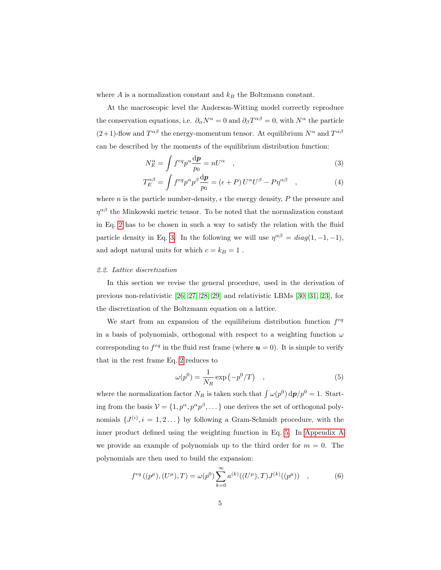where  $A$  is a normalization constant and  $k_B$  the Boltzmann constant.

At the macroscopic level the Anderson-Witting model correctly reproduce the conservation equations, i.e.  $\partial_{\alpha}N^{\alpha} = 0$  and  $\partial_{\beta}T^{\alpha\beta} = 0$ , with  $N^{\alpha}$  the particle  $(2+1)$ -flow and  $T^{\alpha\beta}$  the energy-momentum tensor. At equilibrium  $N^{\alpha}$  and  $T^{\alpha\beta}$ can be described by the moments of the equilibrium distribution function:

<span id="page-4-0"></span>
$$
N_E^{\alpha} = \int f^{eq} p^{\alpha} \frac{\mathrm{d}p}{p_0} = nU^{\alpha} \quad , \tag{3}
$$

$$
T_E^{\alpha\beta} = \int f^{eq} p^{\alpha} p^{\beta} \frac{dp}{p_0} = (\epsilon + P) U^{\alpha} U^{\beta} - P \eta^{\alpha\beta} \quad , \tag{4}
$$

where n is the particle number-density,  $\epsilon$  the energy density, P the pressure and  $\eta^{\alpha\beta}$  the Minkowski metric tensor. To be noted that the normalization constant in Eq. [2](#page-3-1) has to be chosen in such a way to satisfy the relation with the fluid particle density in Eq. [3.](#page-4-0) In the following we will use  $\eta^{\alpha\beta} = diag(1, -1, -1)$ , and adopt natural units for which  $c = k_B = 1$ .

### 2.2. Lattice discretization

In this section we revise the general procedure, used in the derivation of previous non-relativistic [\[26,](#page-19-5) [27,](#page-19-6) [28,](#page-19-7) [29\]](#page-19-8) and relativistic LBMs [\[30,](#page-19-9) [31,](#page-20-0) [23\]](#page-19-2), for the discretization of the Boltzmann equation on a lattice.

We start from an expansion of the equilibrium distribution function  $f^{eq}$ in a basis of polynomials, orthogonal with respect to a weighting function  $\omega$ corresponding to  $f^{eq}$  in the fluid rest frame (where  $u = 0$ ). It is simple to verify that in the rest frame Eq. [2](#page-3-1) reduces to

<span id="page-4-2"></span><span id="page-4-1"></span>
$$
\omega(p^0) = \frac{1}{N_R} \exp\left(-p^0/T\right) \quad , \tag{5}
$$

where the normalization factor  $N_R$  is taken such that  $\int \omega(p^0) dp/p^0 = 1$ . Starting from the basis  $V = \{1, p^{\alpha}, p^{\alpha}p^{\beta}, \dots\}$  one derives the set of orthogonal polynomials  $\{J^{(i)}, i = 1, 2 \dots\}$  by following a Gram-Schmidt procedure, with the inner product defined using the weighting function in Eq. [5.](#page-4-1) In [Appendix A](#page-14-0) we provide an example of polynomials up to the third order for  $m = 0$ . The polynomials are then used to build the expansion:

$$
f^{eq}((p^{\mu}), (U^{\mu}), T) = \omega(p^0) \sum_{k=0}^{\infty} a^{(k)}((U^{\mu}), T) J^{(k)}((p^{\mu})) , \qquad (6)
$$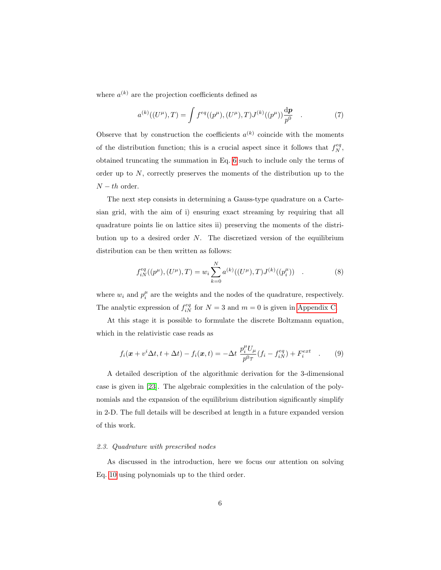where  $a^{(k)}$  are the projection coefficients defined as

$$
a^{(k)}((U^{\mu}),T) = \int f^{eq}((p^{\mu}), (U^{\mu}), T)J^{(k)}((p^{\mu}))\frac{dp}{p^0} \quad . \tag{7}
$$

Observe that by construction the coefficients  $a^{(k)}$  coincide with the moments of the distribution function; this is a crucial aspect since it follows that  $f_N^{eq}$ , obtained truncating the summation in Eq. [6](#page-4-2) such to include only the terms of order up to  $N$ , correctly preserves the moments of the distribution up to the  $N-th$  order.

The next step consists in determining a Gauss-type quadrature on a Cartesian grid, with the aim of i) ensuring exact streaming by requiring that all quadrature points lie on lattice sites ii) preserving the moments of the distribution up to a desired order  $N$ . The discretized version of the equilibrium distribution can be then written as follows:

$$
f_{iN}^{eq}((p^{\mu}), (U^{\mu}), T) = w_i \sum_{k=0}^{N} a^{(k)}((U^{\mu}), T) J^{(k)}((p_i^{\mu})) .
$$
 (8)

where  $w_i$  and  $p_i^{\mu}$  are the weights and the nodes of the quadrature, respectively. The analytic expression of  $f_{iN}^{eq}$  for  $N=3$  and  $m=0$  is given in [Appendix C.](#page-14-0)

At this stage it is possible to formulate the discrete Boltzmann equation, which in the relativistic case reads as

$$
f_i(\boldsymbol{x} + v^i \Delta t, t + \Delta t) - f_i(\boldsymbol{x}, t) = -\Delta t \frac{p_i^{\mu} U_{\mu}}{p^0 \tau} (f_i - f_{iN}^{eq}) + F_i^{ext} \quad . \tag{9}
$$

A detailed description of the algorithmic derivation for the 3-dimensional case is given in [\[23\]](#page-19-2). The algebraic complexities in the calculation of the polynomials and the expansion of the equilibrium distribution significantly simplify in 2-D. The full details will be described at length in a future expanded version of this work.

### 2.3. Quadrature with prescribed nodes

As discussed in the introduction, here we focus our attention on solving Eq. [10](#page-6-0) using polynomials up to the third order.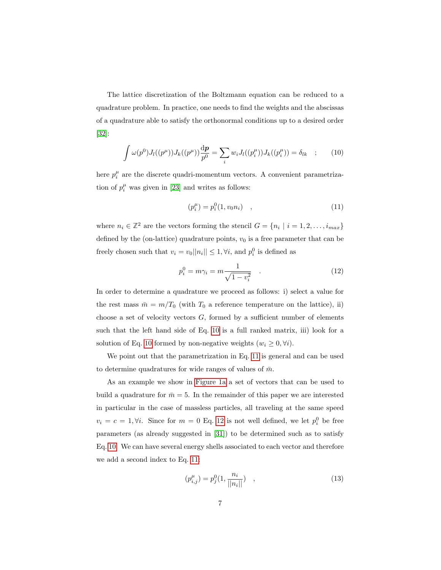The lattice discretization of the Boltzmann equation can be reduced to a quadrature problem. In practice, one needs to find the weights and the abscissas of a quadrature able to satisfy the orthonormal conditions up to a desired order [\[32\]](#page-20-1):

<span id="page-6-0"></span>
$$
\int \omega(p^0) J_l((p^\mu)) J_k((p^\mu)) \frac{dp}{p^0} = \sum_i w_i J_l((p_i^\mu)) J_k((p_i^\mu)) = \delta_{lk} \quad ; \tag{10}
$$

here  $p_i^{\mu}$  are the discrete quadri-momentum vectors. A convenient parametrization of  $p_i^{\mu}$  was given in [\[23\]](#page-19-2) and writes as follows:

<span id="page-6-2"></span><span id="page-6-1"></span>
$$
(p_i^{\mu}) = p_i^0(1, v_0 n_i) \quad , \tag{11}
$$

where  $n_i \in \mathbb{Z}^2$  are the vectors forming the stencil  $G = \{n_i \mid i = 1, 2, \ldots, i_{max}\}\$ defined by the (on-lattice) quadrature points,  $v_0$  is a free parameter that can be freely chosen such that  $v_i = v_0 ||n_i|| \leq 1, \forall i$ , and  $p_i^0$  is defined as

$$
p_i^0 = m\gamma_i = m\frac{1}{\sqrt{1 - v_i^2}} \quad . \tag{12}
$$

In order to determine a quadrature we proceed as follows: i) select a value for the rest mass  $\bar{m} = m/T_0$  (with  $T_0$  a reference temperature on the lattice), ii) choose a set of velocity vectors  $G$ , formed by a sufficient number of elements such that the left hand side of Eq. [10](#page-6-0) is a full ranked matrix, iii) look for a solution of Eq. [10](#page-6-0) formed by non-negative weights  $(w_i \geq 0, \forall i)$ .

We point out that the parametrization in Eq. [11](#page-6-1) is general and can be used to determine quadratures for wide ranges of values of  $\bar{m}$ .

As an example we show in [Figure 1a](#page-7-0) a set of vectors that can be used to build a quadrature for  $\bar{m} = 5$ . In the remainder of this paper we are interested in particular in the case of massless particles, all traveling at the same speed  $v_i = c = 1, \forall i$ . Since for  $m = 0$  Eq. [12](#page-6-2) is not well defined, we let  $p_i^0$  be free parameters (as already suggested in [\[31\]](#page-20-0)) to be determined such as to satisfy Eq. [10.](#page-6-0) We can have several energy shells associated to each vector and therefore we add a second index to Eq. [11:](#page-6-1)

$$
(p_{i,j}^{\mu}) = p_j^0(1, \frac{n_i}{||n_i||}) \quad , \tag{13}
$$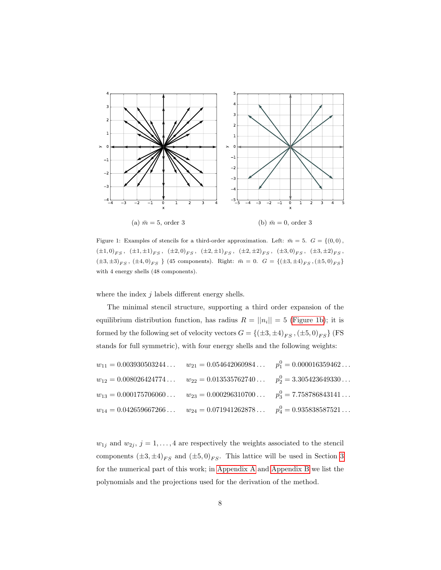<span id="page-7-0"></span>

Figure 1: Examples of stencils for a third-order approximation. Left:  $\bar{m} = 5$ .  $G = \{(0, 0),\}$  $\left. \left( \pm 1, 0 \right)_{FS}, \ \left( \pm 1, \pm 1 \right)_{FS}, \ \left( \pm 2, 0 \right)_{FS}, \ \left( \pm 2, \pm 1 \right)_{FS}, \ \left( \pm 2, \pm 2 \right)_{FS}, \ \left( \pm 3, 0 \right)_{FS}, \ \left( \pm 3, \pm 2 \right)_{FS}, \ \left( \pm 3, 0 \right)_{FS}, \ \left( \pm 3, 0 \right)_{FS}, \ \left( \pm 3, 0 \right)_{FS}, \ \left( \pm 3, 0 \right)_{FS}, \ \left( \pm 3, 0 \right)_{FS}, \ \left( \pm$  $(\pm 3, \pm 3)_{FS}$ ,  $(\pm 4, 0)_{FS}$  } (45 components). Right:  $\bar{m} = 0$ .  $G = \{(\pm 3, \pm 4)_{FS}, (\pm 5, 0)_{FS}\}$ with 4 energy shells (48 components).

where the index  $j$  labels different energy shells.

The minimal stencil structure, supporting a third order expansion of the equilibrium distribution function, has radius  $R = ||n_i|| = 5$  [\(Figure 1b\)](#page-7-0); it is formed by the following set of velocity vectors  $G = \{(\pm 3, \pm 4)_{FS}\,, (\pm 5, 0)_{FS}\}$  (FS stands for full symmetric), with four energy shells and the following weights:

| $w_{11} = 0.003930503244$ $w_{21} = 0.054642060984$ $p_1^0 = 0.000016359462$ |  |
|------------------------------------------------------------------------------|--|
| $w_{12} = 0.008026424774$ $w_{22} = 0.013535762740$ $p_2^0 = 3.305423649330$ |  |
| $w_{13} = 0.000175706060$ $w_{23} = 0.000296310700$ $p_3^0 = 7.758786843141$ |  |
| $w_{14} = 0.042659667266$ $w_{24} = 0.071941262878$ $p_4^0 = 0.935838587521$ |  |

 $w_{1j}$  and  $w_{2j}$ ,  $j = 1, ..., 4$  are respectively the weights associated to the stencil components  $(\pm 3, \pm 4)_{FS}$  $(\pm 3, \pm 4)_{FS}$  $(\pm 3, \pm 4)_{FS}$  and  $(\pm 5, 0)_{FS}$ . This lattice will be used in Section 3 for the numerical part of this work; in [Appendix A](#page-14-0) and [Appendix B](#page-14-0) we list the polynomials and the projections used for the derivation of the method.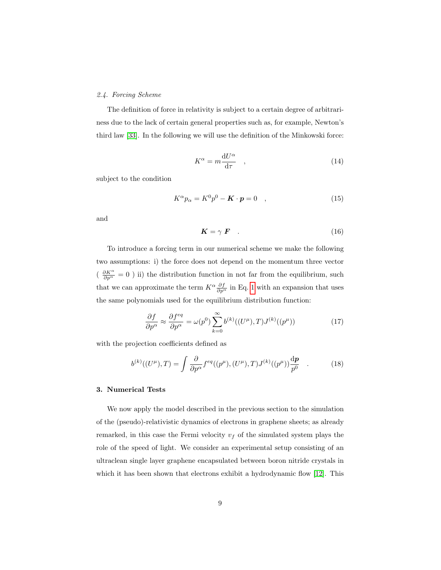### 2.4. Forcing Scheme

The definition of force in relativity is subject to a certain degree of arbitrariness due to the lack of certain general properties such as, for example, Newton's third law [\[33\]](#page-20-2). In the following we will use the definition of the Minkowski force:

$$
K^{\alpha} = m \frac{\mathrm{d}U^{\alpha}}{\mathrm{d}\tau} \quad , \tag{14}
$$

subject to the condition

$$
K^{\alpha} p_{\alpha} = K^0 p^0 - \mathbf{K} \cdot \mathbf{p} = 0 \quad , \tag{15}
$$

<span id="page-8-1"></span>and

$$
K = \gamma \ F \quad . \tag{16}
$$

To introduce a forcing term in our numerical scheme we make the following two assumptions: i) the force does not depend on the momentum three vector  $\left(\begin{array}{c} \frac{\partial K^{\alpha}}{\partial p^{\alpha}}=0\end{array}\right)$  ii) the distribution function in not far from the equilibrium, such that we can approximate the term  $K^{\alpha} \frac{\partial f}{\partial p^{\alpha}}$  in Eq. [1](#page-3-2) with an expansion that uses the same polynomials used for the equilibrium distribution function:

$$
\frac{\partial f}{\partial p^{\alpha}} \approx \frac{\partial f^{eq}}{\partial p^{\alpha}} = \omega(p^0) \sum_{k=0}^{\infty} b^{(k)}((U^{\mu}), T) J^{(k)}((p^{\mu})) \tag{17}
$$

with the projection coefficients defined as

$$
b^{(k)}((U^{\mu}),T) = \int \frac{\partial}{\partial p^{\alpha}} f^{eq}((p^{\mu}), (U^{\mu}), T) J^{(k)}((p^{\mu})) \frac{dp}{p^{0}} . \qquad (18)
$$

#### <span id="page-8-0"></span>3. Numerical Tests

We now apply the model described in the previous section to the simulation of the (pseudo)-relativistic dynamics of electrons in graphene sheets; as already remarked, in this case the Fermi velocity  $v_f$  of the simulated system plays the role of the speed of light. We consider an experimental setup consisting of an ultraclean single layer graphene encapsulated between boron nitride crystals in which it has been shown that electrons exhibit a hydrodynamic flow [\[12\]](#page-18-0). This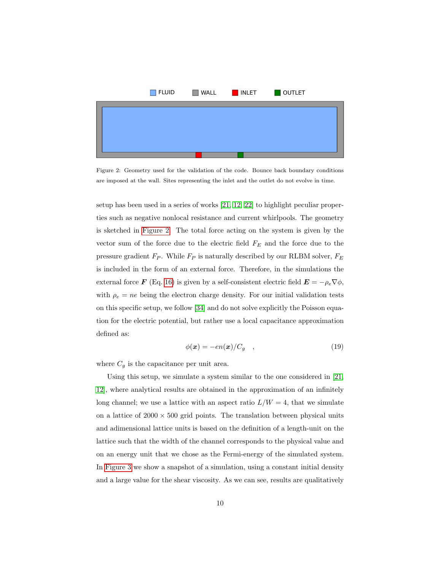<span id="page-9-0"></span>

Figure 2: Geometry used for the validation of the code. Bounce back boundary conditions are imposed at the wall. Sites representing the inlet and the outlet do not evolve in time.

setup has been used in a series of works [\[21,](#page-19-0) [12,](#page-18-0) [22\]](#page-19-1) to highlight peculiar properties such as negative nonlocal resistance and current whirlpools. The geometry is sketched in [Figure 2.](#page-9-0) The total force acting on the system is given by the vector sum of the force due to the electric field  $F_E$  and the force due to the pressure gradient  $F_P$ . While  $F_P$  is naturally described by our RLBM solver,  $F_E$ is included in the form of an external force. Therefore, in the simulations the external force **F** (Eq. [16\)](#page-8-1) is given by a self-consistent electric field  $\mathbf{E} = -\rho_e \nabla \phi$ , with  $\rho_e = ne$  being the electron charge density. For our initial validation tests on this specific setup, we follow [\[34\]](#page-20-3) and do not solve explicitly the Poisson equation for the electric potential, but rather use a local capacitance approximation defined as:

$$
\phi(\boldsymbol{x}) = -en(\boldsymbol{x})/C_g \quad , \tag{19}
$$

<span id="page-9-1"></span>where  $C_g$  is the capacitance per unit area.

Using this setup, we simulate a system similar to the one considered in [\[21,](#page-19-0) [12\]](#page-18-0), where analytical results are obtained in the approximation of an infinitely long channel; we use a lattice with an aspect ratio  $L/W = 4$ , that we simulate on a lattice of  $2000 \times 500$  grid points. The translation between physical units and adimensional lattice units is based on the definition of a length-unit on the lattice such that the width of the channel corresponds to the physical value and on an energy unit that we chose as the Fermi-energy of the simulated system. In [Figure 3](#page-10-0) we show a snapshot of a simulation, using a constant initial density and a large value for the shear viscosity. As we can see, results are qualitatively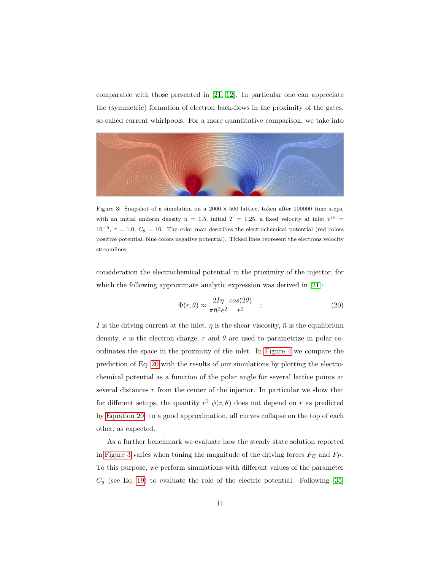comparable with those presented in [\[21,](#page-19-0) [12\]](#page-18-0). In particular one can appreciate the (symmetric) formation of electron back-flows in the proximity of the gates, so called current whirlpools. For a more quantitative comparison, we take into

<span id="page-10-0"></span>

Figure 3: Snapshot of a simulation on a  $2000 \times 500$  lattice, taken after 100000 time steps, with an initial uniform density  $n = 1.5$ , initial  $T = 1.25$ , a fixed velocity at inlet  $v^{in} =$  $10^{-5}$ ,  $\tau = 1.0$ ,  $C_g = 10$ . The color map describes the electrochemical potential (red colors positive potential, blue colors negative potential). Ticked lines represent the electrons velocity streamlines.

consideration the electrochemical potential in the proximity of the injector, for which the following approximate analytic expression was derived in [\[21\]](#page-19-0):

<span id="page-10-1"></span>
$$
\Phi(r,\theta) \approx \frac{2I\eta}{\pi \bar{n}^2 e^2} \frac{\cos(2\theta)}{r^2} \quad ; \tag{20}
$$

I is the driving current at the inlet,  $\eta$  is the shear viscosity,  $\bar{n}$  is the equilibrium density, e is the electron charge, r and  $\theta$  are used to parametrize in polar coordinates the space in the proximity of the inlet. In [Figure 4](#page-11-0) we compare the prediction of Eq. [20](#page-10-1) with the results of our simulations by plotting the electrochemical potential as a function of the polar angle for several lattice points at several distances  $r$  from the center of the injector. In particular we show that for different setups, the quantity  $r^2 \phi(r, \theta)$  does not depend on r as predicted by [Equation 20:](#page-10-1) to a good approximation, all curves collapse on the top of each other, as expected.

As a further benchmark we evaluate how the steady state solution reported in [Figure 3](#page-10-0) varies when tuning the magnitude of the driving forces  $F_E$  and  $F_P$ . To this purpose, we perform simulations with different values of the parameter  $C_g$  (see Eq. [19\)](#page-9-1) to evaluate the role of the electric potential. Following [\[35\]](#page-20-4)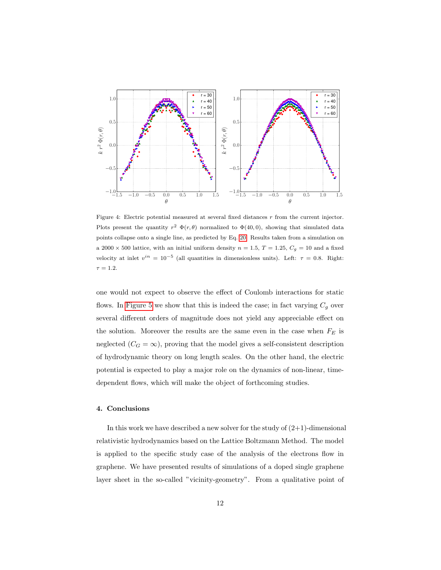<span id="page-11-0"></span>

Figure 4: Electric potential measured at several fixed distances  $r$  from the current injector. Plots present the quantity  $r^2 \Phi(r,\theta)$  normalized to  $\Phi(40,0)$ , showing that simulated data points collapse onto a single line, as predicted by Eq. [20.](#page-10-1) Results taken from a simulation on a 2000  $\times$  500 lattice, with an initial uniform density  $n = 1.5, T = 1.25, C_g = 10$  and a fixed velocity at inlet  $v^{in} = 10^{-5}$  (all quantities in dimensionless units). Left:  $\tau = 0.8$ . Right:  $\tau = 1.2$ .

one would not expect to observe the effect of Coulomb interactions for static flows. In [Figure 5](#page-12-0) we show that this is indeed the case; in fact varying  $C_g$  over several different orders of magnitude does not yield any appreciable effect on the solution. Moreover the results are the same even in the case when  $F_E$  is neglected ( $C_G = \infty$ ), proving that the model gives a self-consistent description of hydrodynamic theory on long length scales. On the other hand, the electric potential is expected to play a major role on the dynamics of non-linear, timedependent flows, which will make the object of forthcoming studies.

## 4. Conclusions

In this work we have described a new solver for the study of  $(2+1)$ -dimensional relativistic hydrodynamics based on the Lattice Boltzmann Method. The model is applied to the specific study case of the analysis of the electrons flow in graphene. We have presented results of simulations of a doped single graphene layer sheet in the so-called "vicinity-geometry". From a qualitative point of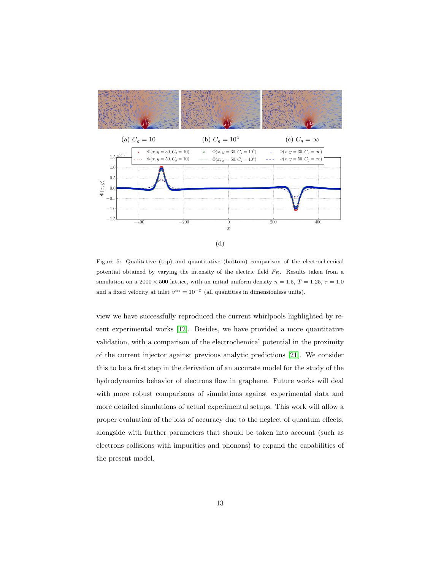<span id="page-12-0"></span>

Figure 5: Qualitative (top) and quantitative (bottom) comparison of the electrochemical potential obtained by varying the intensity of the electric field  $F_E$ . Results taken from a simulation on a 2000  $\times$  500 lattice, with an initial uniform density  $n = 1.5, T = 1.25, \tau = 1.0$ and a fixed velocity at inlet  $v^{in} = 10^{-5}$  (all quantities in dimensionless units).

view we have successfully reproduced the current whirlpools highlighted by recent experimental works [\[12\]](#page-18-0). Besides, we have provided a more quantitative validation, with a comparison of the electrochemical potential in the proximity of the current injector against previous analytic predictions [\[21\]](#page-19-0). We consider this to be a first step in the derivation of an accurate model for the study of the hydrodynamics behavior of electrons flow in graphene. Future works will deal with more robust comparisons of simulations against experimental data and more detailed simulations of actual experimental setups. This work will allow a proper evaluation of the loss of accuracy due to the neglect of quantum effects, alongside with further parameters that should be taken into account (such as electrons collisions with impurities and phonons) to expand the capabilities of the present model.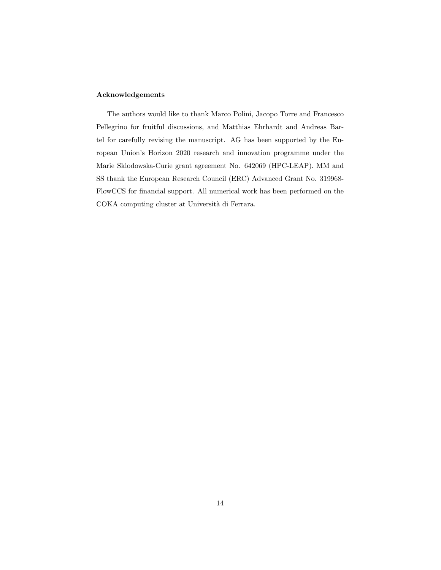# Acknowledgements

The authors would like to thank Marco Polini, Jacopo Torre and Francesco Pellegrino for fruitful discussions, and Matthias Ehrhardt and Andreas Bartel for carefully revising the manuscript. AG has been supported by the European Union's Horizon 2020 research and innovation programme under the Marie Sklodowska-Curie grant agreement No. 642069 (HPC-LEAP). MM and SS thank the European Research Council (ERC) Advanced Grant No. 319968- FlowCCS for financial support. All numerical work has been performed on the COKA computing cluster at Università di Ferrara.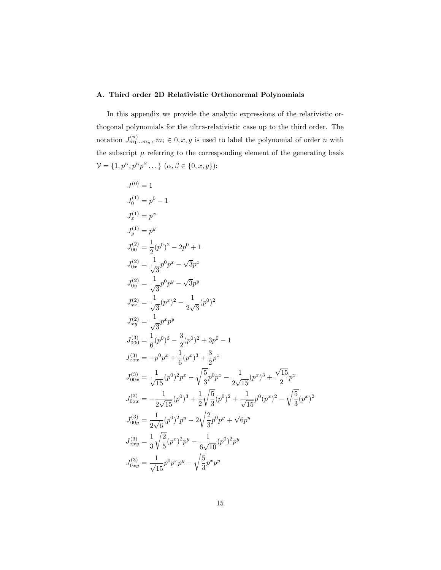# <span id="page-14-0"></span>A. Third order 2D Relativistic Orthonormal Polynomials

In this appendix we provide the analytic expressions of the relativistic orthogonal polynomials for the ultra-relativistic case up to the third order. The notation  $J_{m_1...m_n}^{(n)}$ ,  $m_i \in 0, x, y$  is used to label the polynomial of order n with the subscript  $\mu$  referring to the corresponding element of the generating basis  $V = \{1, p^{\alpha}, p^{\alpha}p^{\beta} \dots\}$   $(\alpha, \beta \in \{0, x, y\})$ :

$$
J_0^{(0)} = 1
$$
  
\n
$$
J_0^{(1)} = p^0 - 1
$$
  
\n
$$
J_x^{(1)} = p^x
$$
  
\n
$$
J_0^{(2)} = \frac{1}{2}(p^0)^2 - 2p^0 + 1
$$
  
\n
$$
J_{0x}^{(2)} = \frac{1}{\sqrt{3}}p^0p^x - \sqrt{3}p^x
$$
  
\n
$$
J_{0y}^{(2)} = \frac{1}{\sqrt{3}}p^0p^y - \sqrt{3}p^y
$$
  
\n
$$
J_{xx}^{(2)} = \frac{1}{\sqrt{3}}(p^x)^2 - \frac{1}{2\sqrt{3}}(p^0)^2
$$
  
\n
$$
J_{xy}^{(2)} = \frac{1}{\sqrt{3}}p^xp^y
$$
  
\n
$$
J_{000}^{(3)} = \frac{1}{6}(p^0)^3 - \frac{3}{2}(p^0)^2 + 3p^0 - 1
$$
  
\n
$$
J_{xxx}^{(3)} = -p^0p^x + \frac{1}{6}(p^x)^3 + \frac{3}{2}p^x
$$
  
\n
$$
J_{00x}^{(3)} = \frac{1}{\sqrt{15}}(p^0)^2p^x - \sqrt{\frac{5}{3}}p^0p^x - \frac{1}{2\sqrt{15}}(p^x)^3 + \frac{\sqrt{15}}{2}p^x
$$
  
\n
$$
J_{0xx}^{(3)} = -\frac{1}{2\sqrt{15}}(p^0)^3 + \frac{1}{2}\sqrt{\frac{5}{3}}(p^0)^2 + \frac{1}{\sqrt{15}}p^0(p^x)^2 - \sqrt{\frac{5}{3}}(p^x)^2
$$
  
\n
$$
J_{00y}^{(3)} = \frac{1}{2\sqrt{6}}(p^0)^2p^y - 2\sqrt{\frac{2}{3}}p^0p^y + \sqrt{6}p^y
$$
  
\n
$$
J_{xyy}^{(3)} = \frac{1}{3}\sqrt{\frac{2}{5}}(p^x)^2p^y - \frac{1}{6\sqrt{10}}(p^0)^2p^y
$$
  
\n
$$
J_{0xy}^{(3)} = \frac{1}{\sqrt{15}}p
$$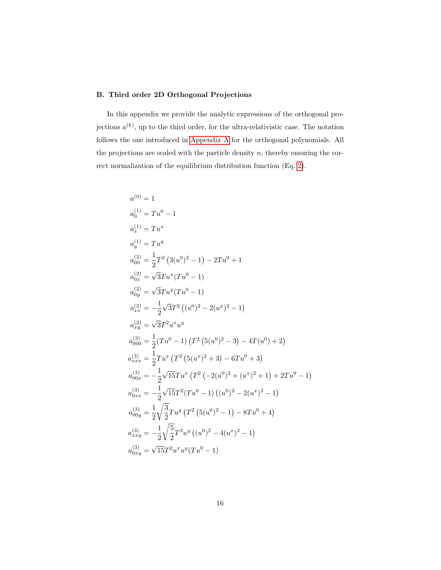# B. Third order 2D Orthogonal Projections

In this appendix we provide the analytic expressions of the orthogonal projections  $a^{(k)}$ , up to the third order, for the ultra-relativistic case. The notation follows the one introduced in [Appendix A](#page-14-0) for the orthogonal polynomials. All the projections are scaled with the particle density  $n$ , thereby ensuring the correct normalization of the equilibrium distribution function (Eq. [2\)](#page-3-1).

$$
a_0^{(0)} = 1
$$
  
\n
$$
a_0^{(1)} = Tu^0 - 1
$$
  
\n
$$
a_x^{(1)} = Tu^x
$$
  
\n
$$
a_y^{(1)} = Tu^y
$$
  
\n
$$
a_{00}^{(2)} = \frac{1}{2}T^2 (3(u^0)^2 - 1) - 2Tu^0 + 1
$$
  
\n
$$
a_{0x}^{(2)} = \sqrt{3}Tu^x(Tu^0 - 1)
$$
  
\n
$$
a_{0y}^{(2)} = \sqrt{3}Tu^y(Tu^0 - 1)
$$
  
\n
$$
a_{xx}^{(2)} = -\frac{1}{2}\sqrt{3}T^2 ((u^0)^2 - 2(u^x)^2 - 1)
$$
  
\n
$$
a_{xx}^{(2)} = \sqrt{3}T^2u^xu^y
$$
  
\n
$$
a_{000}^{(3)} = \frac{1}{2}(Tu^0 - 1)(T^2 (5(u^0)^2 - 3) - 4T(u^0) + 2)
$$
  
\n
$$
a_{xxx}^{(3)} = \frac{1}{2}Tu^x (T^2 (5(u^x)^2 + 3) - 6Tu^0 + 3)
$$
  
\n
$$
a_{00x}^{(3)} = -\frac{1}{2}\sqrt{15}Tu^x (T^2 (-2(u^0)^2 + (u^x)^2 + 1) + 2Tu^0 - 1)
$$
  
\n
$$
a_{0xx}^{(3)} = -\frac{1}{2}\sqrt{15}T^2(Tu^0 - 1)((u^0)^2 - 2(u^x)^2 - 1)
$$
  
\n
$$
a_{0xy}^{(3)} = \frac{1}{2}\sqrt{\frac{3}{2}}Tu^y (T^2 (5(u^0)^2 - 1) - 8Tu^0 + 4)
$$
  
\n
$$
a_{xxy}^{(3)} = -\frac{1}{2}\sqrt{\frac{5}{2}}T^3u^y ((u^0)^2 - 4(u^x)^2 - 1)
$$
  
\n
$$
a_{0xy}^{(3)} = \sqrt{15}T^2u^xu^y(Tu^0 - 1)
$$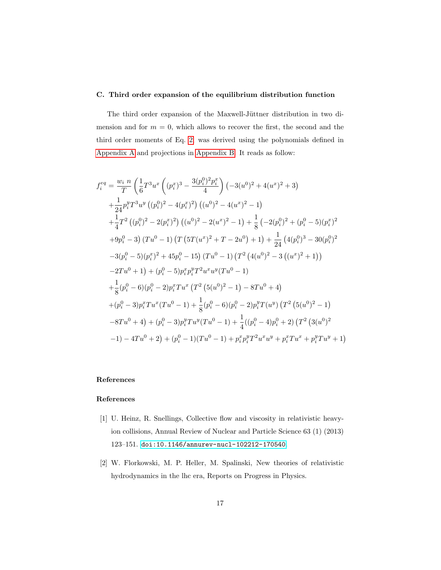# C. Third order expansion of the equilibrium distribution function

The third order expansion of the Maxwell-Jüttner distribution in two dimension and for  $m = 0$ , which allows to recover the first, the second and the third order moments of Eq. [2,](#page-3-1) was derived using the polynomials defined in [Appendix A](#page-14-0) and projections in [Appendix B.](#page-14-0) It reads as follow:

$$
f_i^{eq} = \frac{w_i n}{T} \left( \frac{1}{6} T^3 u^x \left( (p_i^x)^3 - \frac{3(p_i^0)^2 p_i^x}{4} \right) (-3(u^0)^2 + 4(u^x)^2 + 3) + \frac{1}{24} p_i^y T^3 u^y \left( (p_i^0)^2 - 4(p_i^x)^2 \right) \left( (u^0)^2 - 4(u^x)^2 - 1 \right) + \frac{1}{4} T^2 \left( (p_i^0)^2 - 2(p_i^x)^2 \right) \left( (u^0)^2 - 2(u^x)^2 - 1 \right) + \frac{1}{8} \left( -2(p_i^0)^2 + (p_i^0 - 5)(p_i^x)^2 \right) + 9p_i^0 - 3 \right) (T u^0 - 1) (T \left( 5T(u^x)^2 + T - 2u^0 \right) + 1) + \frac{1}{24} \left( 4(p_i^0)^3 - 30(p_i^0)^2 \right) - 3(p_i^0 - 5)(p_i^x)^2 + 45p_i^0 - 15) (T u^0 - 1) (T^2 \left( 4(u^0)^2 - 3 \left( (u^x)^2 + 1 \right) \right) - 2T u^0 + 1) + (p_i^0 - 5)p_i^x p_i^y T^2 u^x u^y (T u^0 - 1) + \frac{1}{8} (p_i^0 - 6)(p_i^0 - 2)p_i^x T u^x (T^2 \left( 5(u^0)^2 - 1 \right) - 8T u^0 + 4) + (p_i^0 - 3)p_i^x T u^x (T u^0 - 1) + \frac{1}{8} (p_i^0 - 6)(p_i^0 - 2)p_i^y T(u^y) (T^2 \left( 5(u^0)^2 - 1 \right) - 8T u^0 + 4) + (p_i^0 - 3)p_i^y T u^y (T u^0 - 1) + \frac{1}{4} ((p_i^0 - 4)p_i^0 + 2) (T^2 \left( 3(u^0)^2 - 1 \right) - 4T u^0 + 2) + (p_i^0 - 1)(T u^0 - 1) + p_i^x p_i^y T^2 u^x u^y + p_i^x T u^x + p_i^y T u^y + 1)
$$

# References

# References

- <span id="page-16-0"></span>[1] U. Heinz, R. Snellings, Collective flow and viscosity in relativistic heavyion collisions, Annual Review of Nuclear and Particle Science 63 (1) (2013) 123–151. [doi:10.1146/annurev-nucl-102212-170540](http://dx.doi.org/10.1146/annurev-nucl-102212-170540).
- <span id="page-16-1"></span>[2] W. Florkowski, M. P. Heller, M. Spalinski, New theories of relativistic hydrodynamics in the lhc era, Reports on Progress in Physics.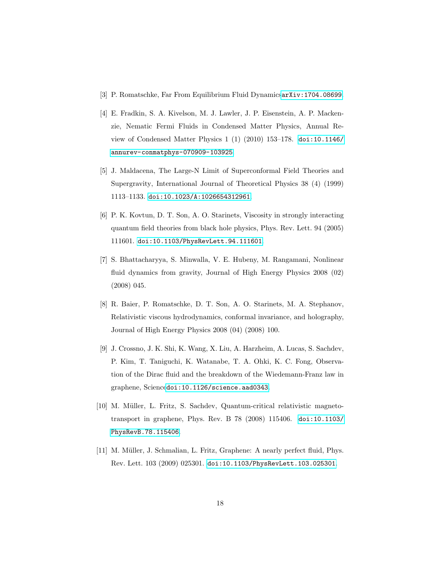- <span id="page-17-0"></span>[3] P. Romatschke, Far From Equilibrium Fluid Dynamics[arXiv:1704.08699](http://arxiv.org/abs/1704.08699).
- <span id="page-17-1"></span>[4] E. Fradkin, S. A. Kivelson, M. J. Lawler, J. P. Eisenstein, A. P. Mackenzie, Nematic Fermi Fluids in Condensed Matter Physics, Annual Review of Condensed Matter Physics 1 (1) (2010) 153–178. [doi:10.1146/](http://dx.doi.org/10.1146/annurev-conmatphys-070909-103925) [annurev-conmatphys-070909-103925](http://dx.doi.org/10.1146/annurev-conmatphys-070909-103925).
- <span id="page-17-2"></span>[5] J. Maldacena, The Large-N Limit of Superconformal Field Theories and Supergravity, International Journal of Theoretical Physics 38 (4) (1999) 1113–1133. [doi:10.1023/A:1026654312961](http://dx.doi.org/10.1023/A:1026654312961).
- <span id="page-17-3"></span>[6] P. K. Kovtun, D. T. Son, A. O. Starinets, Viscosity in strongly interacting quantum field theories from black hole physics, Phys. Rev. Lett. 94 (2005) 111601. [doi:10.1103/PhysRevLett.94.111601](http://dx.doi.org/10.1103/PhysRevLett.94.111601).
- <span id="page-17-4"></span>[7] S. Bhattacharyya, S. Minwalla, V. E. Hubeny, M. Rangamani, Nonlinear fluid dynamics from gravity, Journal of High Energy Physics 2008 (02) (2008) 045.
- <span id="page-17-5"></span>[8] R. Baier, P. Romatschke, D. T. Son, A. O. Starinets, M. A. Stephanov, Relativistic viscous hydrodynamics, conformal invariance, and holography, Journal of High Energy Physics 2008 (04) (2008) 100.
- <span id="page-17-6"></span>[9] J. Crossno, J. K. Shi, K. Wang, X. Liu, A. Harzheim, A. Lucas, S. Sachdev, P. Kim, T. Taniguchi, K. Watanabe, T. A. Ohki, K. C. Fong, Observation of the Dirac fluid and the breakdown of the Wiedemann-Franz law in graphene, Science[doi:10.1126/science.aad0343](http://dx.doi.org/10.1126/science.aad0343).
- <span id="page-17-7"></span>[10] M. Müller, L. Fritz, S. Sachdev, Quantum-critical relativistic magnetotransport in graphene, Phys. Rev. B 78 (2008) 115406. [doi:10.1103/](http://dx.doi.org/10.1103/PhysRevB.78.115406) [PhysRevB.78.115406](http://dx.doi.org/10.1103/PhysRevB.78.115406).
- <span id="page-17-8"></span>[11] M. Müller, J. Schmalian, L. Fritz, Graphene: A nearly perfect fluid, Phys. Rev. Lett. 103 (2009) 025301. [doi:10.1103/PhysRevLett.103.025301](http://dx.doi.org/10.1103/PhysRevLett.103.025301).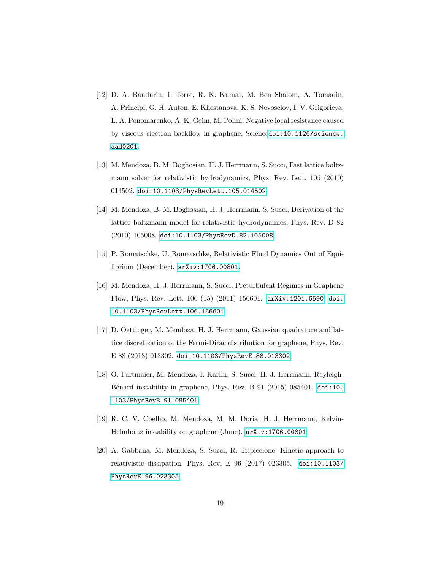- <span id="page-18-0"></span>[12] D. A. Bandurin, I. Torre, R. K. Kumar, M. Ben Shalom, A. Tomadin, A. Principi, G. H. Auton, E. Khestanova, K. S. Novoselov, I. V. Grigorieva, L. A. Ponomarenko, A. K. Geim, M. Polini, Negative local resistance caused by viscous electron backflow in graphene, Science[doi:10.1126/science.](http://dx.doi.org/10.1126/science.aad0201) [aad0201](http://dx.doi.org/10.1126/science.aad0201).
- <span id="page-18-1"></span>[13] M. Mendoza, B. M. Boghosian, H. J. Herrmann, S. Succi, Fast lattice boltzmann solver for relativistic hydrodynamics, Phys. Rev. Lett. 105 (2010) 014502. [doi:10.1103/PhysRevLett.105.014502](http://dx.doi.org/10.1103/PhysRevLett.105.014502).
- <span id="page-18-2"></span>[14] M. Mendoza, B. M. Boghosian, H. J. Herrmann, S. Succi, Derivation of the lattice boltzmann model for relativistic hydrodynamics, Phys. Rev. D 82 (2010) 105008. [doi:10.1103/PhysRevD.82.105008](http://dx.doi.org/10.1103/PhysRevD.82.105008).
- <span id="page-18-3"></span>[15] P. Romatschke, U. Romatschke, Relativistic Fluid Dynamics Out of Equilibrium (December). [arXiv:1706.00801](http://arxiv.org/abs/1706.00801).
- <span id="page-18-4"></span>[16] M. Mendoza, H. J. Herrmann, S. Succi, Preturbulent Regimes in Graphene Flow, Phys. Rev. Lett. 106 (15) (2011) 156601. [arXiv:1201.6590](http://arxiv.org/abs/1201.6590), [doi:](http://dx.doi.org/10.1103/PhysRevLett.106.156601) [10.1103/PhysRevLett.106.156601](http://dx.doi.org/10.1103/PhysRevLett.106.156601).
- <span id="page-18-5"></span>[17] D. Oettinger, M. Mendoza, H. J. Herrmann, Gaussian quadrature and lattice discretization of the Fermi-Dirac distribution for graphene, Phys. Rev. E 88 (2013) 013302. [doi:10.1103/PhysRevE.88.013302](http://dx.doi.org/10.1103/PhysRevE.88.013302).
- <span id="page-18-6"></span>[18] O. Furtmaier, M. Mendoza, I. Karlin, S. Succi, H. J. Herrmann, RayleighBénard instability in graphene, Phys. Rev. B 91 (2015) 085401. [doi:10.](http://dx.doi.org/10.1103/PhysRevB.91.085401) [1103/PhysRevB.91.085401](http://dx.doi.org/10.1103/PhysRevB.91.085401).
- <span id="page-18-7"></span>[19] R. C. V. Coelho, M. Mendoza, M. M. Doria, H. J. Herrmann, Kelvin-Helmholtz instability on graphene (June). [arXiv:1706.00801](http://arxiv.org/abs/1706.00801).
- <span id="page-18-8"></span>[20] A. Gabbana, M. Mendoza, S. Succi, R. Tripiccione, Kinetic approach to relativistic dissipation, Phys. Rev. E 96 (2017) 023305. [doi:10.1103/](http://dx.doi.org/10.1103/PhysRevE.96.023305) [PhysRevE.96.023305](http://dx.doi.org/10.1103/PhysRevE.96.023305).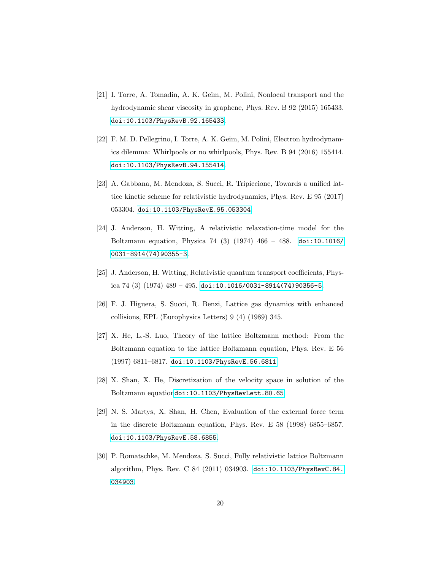- <span id="page-19-0"></span>[21] I. Torre, A. Tomadin, A. K. Geim, M. Polini, Nonlocal transport and the hydrodynamic shear viscosity in graphene, Phys. Rev. B 92 (2015) 165433. [doi:10.1103/PhysRevB.92.165433](http://dx.doi.org/10.1103/PhysRevB.92.165433).
- <span id="page-19-1"></span>[22] F. M. D. Pellegrino, I. Torre, A. K. Geim, M. Polini, Electron hydrodynamics dilemma: Whirlpools or no whirlpools, Phys. Rev. B 94 (2016) 155414. [doi:10.1103/PhysRevB.94.155414](http://dx.doi.org/10.1103/PhysRevB.94.155414).
- <span id="page-19-2"></span>[23] A. Gabbana, M. Mendoza, S. Succi, R. Tripiccione, Towards a unified lattice kinetic scheme for relativistic hydrodynamics, Phys. Rev. E 95 (2017) 053304. [doi:10.1103/PhysRevE.95.053304](http://dx.doi.org/10.1103/PhysRevE.95.053304).
- <span id="page-19-3"></span>[24] J. Anderson, H. Witting, A relativistic relaxation-time model for the Boltzmann equation, Physica 74 (3) (1974) 466 – 488. [doi:10.1016/](http://dx.doi.org/10.1016/0031-8914(74)90355-3) [0031-8914\(74\)90355-3](http://dx.doi.org/10.1016/0031-8914(74)90355-3).
- <span id="page-19-4"></span>[25] J. Anderson, H. Witting, Relativistic quantum transport coefficients, Physica 74 (3) (1974)  $489 - 495$ . [doi:10.1016/0031-8914\(74\)90356-5](http://dx.doi.org/10.1016/0031-8914(74)90356-5).
- <span id="page-19-5"></span>[26] F. J. Higuera, S. Succi, R. Benzi, Lattice gas dynamics with enhanced collisions, EPL (Europhysics Letters) 9 (4) (1989) 345.
- <span id="page-19-6"></span>[27] X. He, L.-S. Luo, Theory of the lattice Boltzmann method: From the Boltzmann equation to the lattice Boltzmann equation, Phys. Rev. E 56 (1997) 6811–6817. [doi:10.1103/PhysRevE.56.6811](http://dx.doi.org/10.1103/PhysRevE.56.6811).
- <span id="page-19-7"></span>[28] X. Shan, X. He, Discretization of the velocity space in solution of the Boltzmann equation[doi:10.1103/PhysRevLett.80.65](http://dx.doi.org/10.1103/PhysRevLett.80.65).
- <span id="page-19-8"></span>[29] N. S. Martys, X. Shan, H. Chen, Evaluation of the external force term in the discrete Boltzmann equation, Phys. Rev. E 58 (1998) 6855–6857. [doi:10.1103/PhysRevE.58.6855](http://dx.doi.org/10.1103/PhysRevE.58.6855).
- <span id="page-19-9"></span>[30] P. Romatschke, M. Mendoza, S. Succi, Fully relativistic lattice Boltzmann algorithm, Phys. Rev. C 84 (2011) 034903. [doi:10.1103/PhysRevC.84.](http://dx.doi.org/10.1103/PhysRevC.84.034903) [034903](http://dx.doi.org/10.1103/PhysRevC.84.034903).